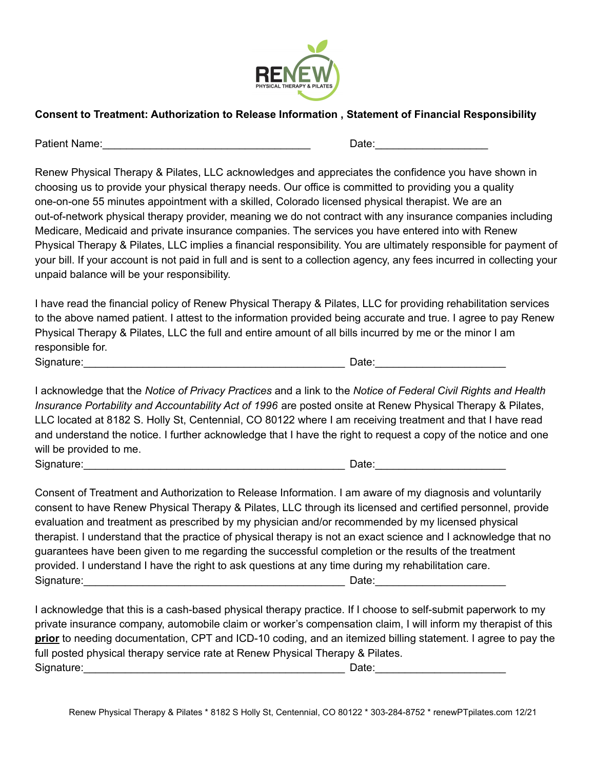

## **Consent to Treatment: Authorization to Release Information , Statement of Financial Responsibility**

Patient Name:\_\_\_\_\_\_\_\_\_\_\_\_\_\_\_\_\_\_\_\_\_\_\_\_\_\_\_\_\_\_\_\_\_\_\_ Date:\_\_\_\_\_\_\_\_\_\_\_\_\_\_\_\_\_\_\_

Renew Physical Therapy & Pilates, LLC acknowledges and appreciates the confidence you have shown in choosing us to provide your physical therapy needs. Our office is committed to providing you a quality one-on-one 55 minutes appointment with a skilled, Colorado licensed physical therapist. We are an out-of-network physical therapy provider, meaning we do not contract with any insurance companies including Medicare, Medicaid and private insurance companies. The services you have entered into with Renew Physical Therapy & Pilates, LLC implies a financial responsibility. You are ultimately responsible for payment of your bill. If your account is not paid in full and is sent to a collection agency, any fees incurred in collecting your unpaid balance will be your responsibility.

I have read the financial policy of Renew Physical Therapy & Pilates, LLC for providing rehabilitation services to the above named patient. I attest to the information provided being accurate and true. I agree to pay Renew Physical Therapy & Pilates, LLC the full and entire amount of all bills incurred by me or the minor I am responsible for. Signature:\_\_\_\_\_\_\_\_\_\_\_\_\_\_\_\_\_\_\_\_\_\_\_\_\_\_\_\_\_\_\_\_\_\_\_\_\_\_\_\_\_\_\_\_ Date:\_\_\_\_\_\_\_\_\_\_\_\_\_\_\_\_\_\_\_\_\_\_

I acknowledge that the *Notice of Privacy Practices* and a link to the *Notice of Federal Civil Rights and Health Insurance Portability and Accountability Act of 1996* are posted onsite at Renew Physical Therapy & Pilates, LLC located at 8182 S. Holly St, Centennial, CO 80122 where I am receiving treatment and that I have read and understand the notice. I further acknowledge that I have the right to request a copy of the notice and one will be provided to me. Signature:\_\_\_\_\_\_\_\_\_\_\_\_\_\_\_\_\_\_\_\_\_\_\_\_\_\_\_\_\_\_\_\_\_\_\_\_\_\_\_\_\_\_\_\_ Date:\_\_\_\_\_\_\_\_\_\_\_\_\_\_\_\_\_\_\_\_\_\_

Consent of Treatment and Authorization to Release Information. I am aware of my diagnosis and voluntarily consent to have Renew Physical Therapy & Pilates, LLC through its licensed and certified personnel, provide evaluation and treatment as prescribed by my physician and/or recommended by my licensed physical therapist. I understand that the practice of physical therapy is not an exact science and I acknowledge that no guarantees have been given to me regarding the successful completion or the results of the treatment provided. I understand I have the right to ask questions at any time during my rehabilitation care. Signature:\_\_\_\_\_\_\_\_\_\_\_\_\_\_\_\_\_\_\_\_\_\_\_\_\_\_\_\_\_\_\_\_\_\_\_\_\_\_\_\_\_\_\_\_ Date:\_\_\_\_\_\_\_\_\_\_\_\_\_\_\_\_\_\_\_\_\_\_

I acknowledge that this is a cash-based physical therapy practice. If I choose to self-submit paperwork to my private insurance company, automobile claim or worker's compensation claim, I will inform my therapist of this **prior** to needing documentation, CPT and ICD-10 coding, and an itemized billing statement. I agree to pay the full posted physical therapy service rate at Renew Physical Therapy & Pilates. Signature:\_\_\_\_\_\_\_\_\_\_\_\_\_\_\_\_\_\_\_\_\_\_\_\_\_\_\_\_\_\_\_\_\_\_\_\_\_\_\_\_\_\_\_\_ Date:\_\_\_\_\_\_\_\_\_\_\_\_\_\_\_\_\_\_\_\_\_\_